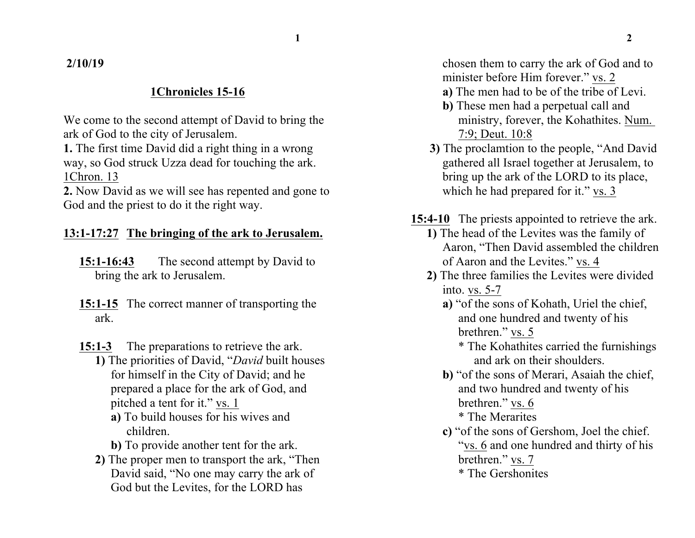**2/10/19**

## **1Chronicles 15-16**

We come to the second attempt of David to bring the ark of God to the city of Jerusalem.

**1.** The first time David did a right thing in a wrong way, so God struck Uzza dead for touching the ark. 1Chron. 13

**2.** Now David as we will see has repented and gone to God and the priest to do it the right way.

## **13:1-17:27 The bringing of the ark to Jerusalem.**

**15:1-16:43** The second attempt by David to bring the ark to Jerusalem.

- **15:1-15** The correct manner of transporting the ark.
- **15:1-3** The preparations to retrieve the ark.

**1)** The priorities of David, "*David* built houses for himself in the City of David; and he prepared a place for the ark of God, and pitched a tent for it." vs. 1

- **a)** To build houses for his wives and children.
- **b)** To provide another tent for the ark.
- **2)** The proper men to transport the ark, "Then David said, "No one may carry the ark of God but the Levites, for the LORD has

chosen them to carry the ark of God and to minister before Him forever." vs. 2

- **a)** The men had to be of the tribe of Levi.
- **b)** These men had a perpetual call and ministry, forever, the Kohathites. Num. 7:9; Deut. 10:8
- **3)** The proclamtion to the people, "And David gathered all Israel together at Jerusalem, to bring up the ark of the LORD to its place, which he had prepared for it." vs. 3
- **15:4-10** The priests appointed to retrieve the ark.
	- **1)** The head of the Levites was the family of Aaron, "Then David assembled the children of Aaron and the Levites." vs. 4
	- **2)** The three families the Levites were divided into. vs. 5-7
		- **a)** "of the sons of Kohath, Uriel the chief, and one hundred and twenty of his brethren." vs. 5
			- \* The Kohathites carried the furnishings and ark on their shoulders.
		- **b)** "of the sons of Merari, Asaiah the chief, and two hundred and twenty of his brethren." vs. 6 \* The Merarites
		- **c)** "of the sons of Gershom, Joel the chief. "vs. 6 and one hundred and thirty of his brethren." vs. 7
			- \* The Gershonites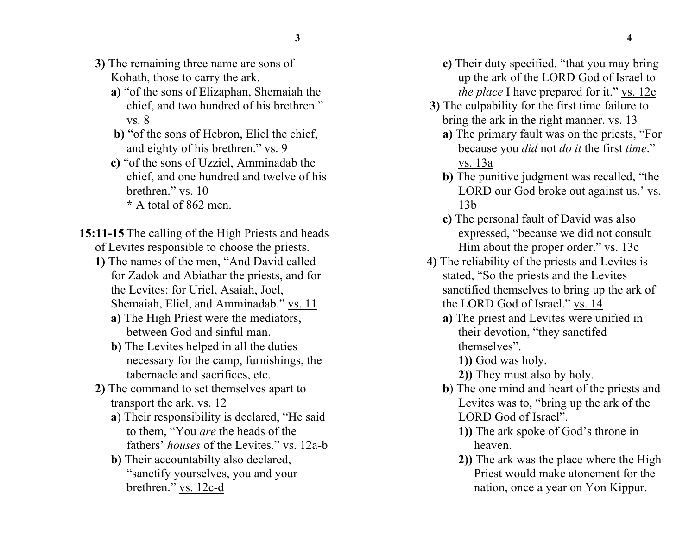- **3)** The remaining three name are sons of Kohath, those to carry the ark.
	- **a)** "of the sons of Elizaphan, Shemaiah the chief, and two hundred of his brethren." vs. 8
	- **b)** "of the sons of Hebron, Eliel the chief, and eighty of his brethren." vs. 9
	- **c)** "of the sons of Uzziel, Amminadab the chief, and one hundred and twelve of his brethren." vs. 10 **\*** A total of 862 men.

**15:11-15** The calling of the High Priests and heads of Levites responsible to choose the priests.

- **1)** The names of the men, "And David called for Zadok and Abiathar the priests, and for the Levites: for Uriel, Asaiah, Joel, Shemaiah, Eliel, and Amminadab." vs. 11
	- **a)** The High Priest were the mediators, between God and sinful man.
	- **b)** The Levites helped in all the duties necessary for the camp, furnishings, the tabernacle and sacrifices, etc.
- **2)** The command to set themselves apart to transport the ark. vs. 12
	- **a**) Their responsibility is declared, "He said to them, "You *are* the heads of the fathers' *houses* of the Levites." vs. 12a-b
	- **b)** Their accountabilty also declared, "sanctify yourselves, you and your brethren." vs. 12c-d
- **c)** Their duty specified, "that you may bring up the ark of the LORD God of Israel to *the place* I have prepared for it." vs. 12e
- **3)** The culpability for the first time failure to bring the ark in the right manner. vs. 13
	- **a)** The primary fault was on the priests, "For because you *did* not *do it* the first *time*." vs. 13a
	- **b)** The punitive judgment was recalled, "the LORD our God broke out against us.' vs. 13b
	- **c)** The personal fault of David was also expressed, "because we did not consult Him about the proper order." vs. 13c
- **4)** The reliability of the priests and Levites is stated, "So the priests and the Levites sanctified themselves to bring up the ark of the LORD God of Israel." vs. 14
	- **a)** The priest and Levites were unified in their devotion, "they sanctifed themselves".

**1))** God was holy.

- **2))** They must also by holy.
- **b**) The one mind and heart of the priests and Levites was to, "bring up the ark of the LORD God of Israel".
	- **1))** The ark spoke of God's throne in heaven.
	- **2))** The ark was the place where the High Priest would make atonement for the nation, once a year on Yon Kippur.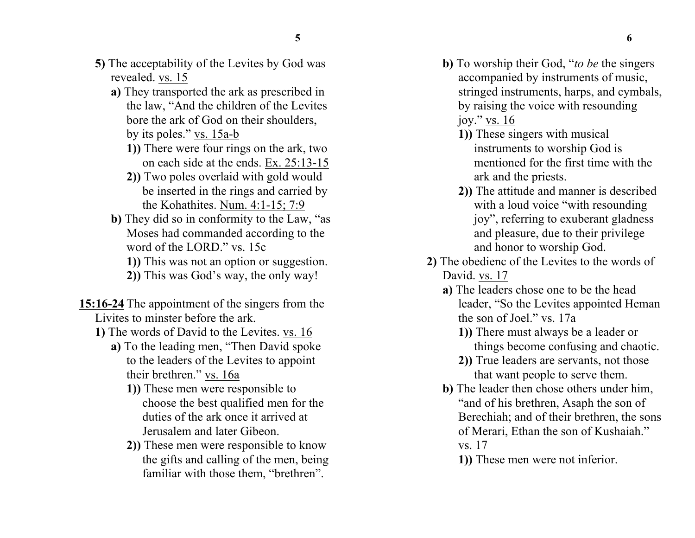- **5)** The acceptability of the Levites by God was revealed. vs. 15
	- **a)** They transported the ark as prescribed in the law, "And the children of the Levites bore the ark of God on their shoulders,
		- by its poles." vs. 15a-b
		- **1))** There were four rings on the ark, two on each side at the ends. Ex. 25:13-15
		- **2))** Two poles overlaid with gold would be inserted in the rings and carried by the Kohathites. Num. 4:1-15; 7:9
	- **b)** They did so in conformity to the Law, "as Moses had commanded according to the word of the LORD." vs. 15c
		- **1))** This was not an option or suggestion.
		- **2))** This was God's way, the only way!
- **15:16-24** The appointment of the singers from the Livites to minster before the ark.
	- **1)** The words of David to the Levites. vs. 16
		- **a)** To the leading men, "Then David spoke to the leaders of the Levites to appoint their brethren." vs. 16a
			- **1))** These men were responsible to choose the best qualified men for the duties of the ark once it arrived at Jerusalem and later Gibeon.
			- **2))** These men were responsible to know the gifts and calling of the men, being familiar with those them, "brethren".
- **b)** To worship their God, "*to be* the singers accompanied by instruments of music, stringed instruments, harps, and cymbals, by raising the voice with resounding joy." vs. 16
	- **1))** These singers with musical instruments to worship God is mentioned for the first time with the ark and the priests.
	- **2))** The attitude and manner is described with a loud voice "with resounding" joy", referring to exuberant gladness and pleasure, due to their privilege and honor to worship God.
- **2)** The obedienc of the Levites to the words of David. vs. 17
	- **a)** The leaders chose one to be the head leader, "So the Levites appointed Heman the son of Joel." vs. 17a
		- **1))** There must always be a leader or things become confusing and chaotic.
		- **2))** True leaders are servants, not those that want people to serve them.
	- **b)** The leader then chose others under him, "and of his brethren, Asaph the son of Berechiah; and of their brethren, the sons of Merari, Ethan the son of Kushaiah." vs. 17

**1))** These men were not inferior.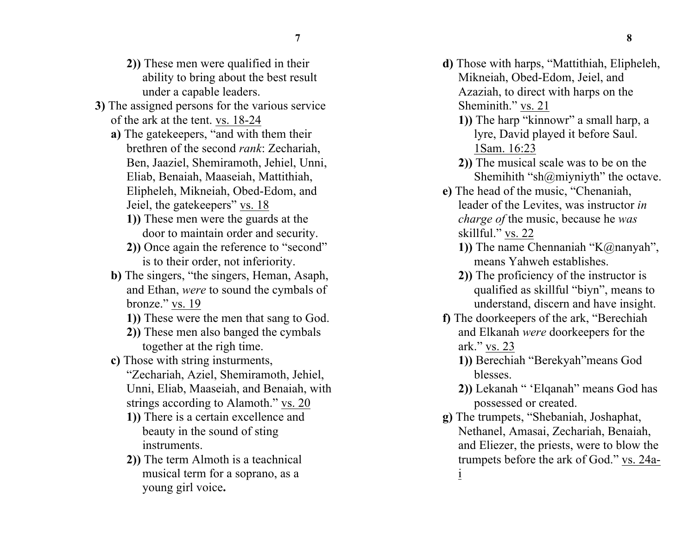- **2))** These men were qualified in their ability to bring about the best result under a capable leaders.
- **3)** The assigned persons for the various service of the ark at the tent. vs. 18-24
	- **a)** The gatekeepers, "and with them their brethren of the second *rank*: Zechariah, Ben, Jaaziel, Shemiramoth, Jehiel, Unni, Eliab, Benaiah, Maaseiah, Mattithiah, Elipheleh, Mikneiah, Obed-Edom, and Jeiel, the gatekeepers" vs. 18
		- **1))** These men were the guards at the door to maintain order and security.
		- **2))** Once again the reference to "second" is to their order, not inferiority.
	- **b)** The singers, "the singers, Heman, Asaph, and Ethan, *were* to sound the cymbals of bronze." vs. 19
		- **1))** These were the men that sang to God.
		- **2))** These men also banged the cymbals together at the righ time.
	- **c)** Those with string insturments,
		- "Zechariah, Aziel, Shemiramoth, Jehiel, Unni, Eliab, Maaseiah, and Benaiah, with strings according to Alamoth." vs. 20
		- **1))** There is a certain excellence and beauty in the sound of sting instruments.
		- **2))** The term Almoth is a teachnical musical term for a soprano, as a young girl voice**.**
- **d)** Those with harps, "Mattithiah, Elipheleh, Mikneiah, Obed-Edom, Jeiel, and Azaziah, to direct with harps on the Sheminith." vs. 21
	- **1))** The harp "kinnowr" a small harp, a lyre, David played it before Saul. 1Sam. 16:23
	- **2))** The musical scale was to be on the Shemihith "sh $@$ miyniyth" the octave.
- **e)** The head of the music, "Chenaniah, leader of the Levites, was instructor *in charge of* the music, because he *was* skillful." vs. 22
	- **1))** The name Chennaniah "K@nanyah", means Yahweh establishes.
	- **2))** The proficiency of the instructor is qualified as skillful "biyn", means to understand, discern and have insight.
- **f)** The doorkeepers of the ark, "Berechiah and Elkanah *were* doorkeepers for the ark." vs. 23
	- **1))** Berechiah "Berekyah"means God blesses.
	- **2))** Lekanah " 'Elqanah" means God has possessed or created.
- **g)** The trumpets, "Shebaniah, Joshaphat, Nethanel, Amasai, Zechariah, Benaiah, and Eliezer, the priests, were to blow the trumpets before the ark of God." vs. 24ai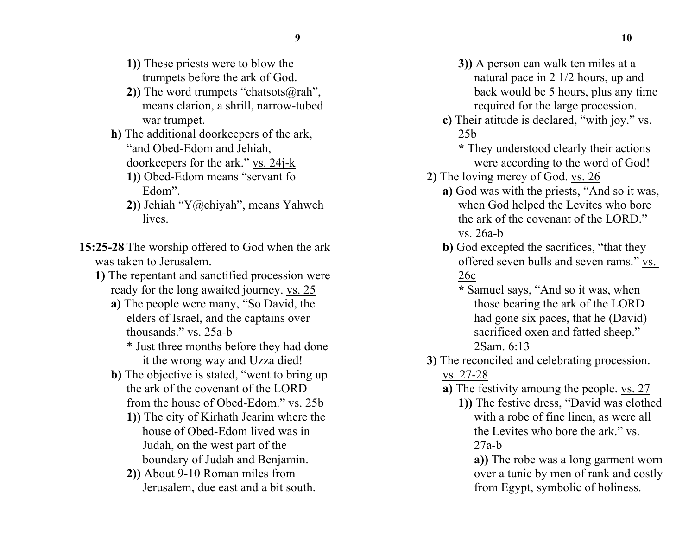- **1))** These priests were to blow the trumpets before the ark of God.
- **2))** The word trumpets "chatsots@rah", means clarion, a shrill, narrow-tubed war trumpet.
- **h)** The additional doorkeepers of the ark, "and Obed-Edom and Jehiah, doorkeepers for the ark." vs. 24j-k
	- **1))** Obed-Edom means "servant fo Edom".
	- **2))** Jehiah "Y@chiyah", means Yahweh lives.
- **15:25-28** The worship offered to God when the ark was taken to Jerusalem.
	- **1)** The repentant and sanctified procession were ready for the long awaited journey. vs. 25
		- **a)** The people were many, "So David, the elders of Israel, and the captains over thousands." vs. 25a-b
			- \* Just three months before they had done it the wrong way and Uzza died!
		- **b)** The objective is stated, "went to bring up the ark of the covenant of the LORD from the house of Obed-Edom." vs. 25b
			- **1))** The city of Kirhath Jearim where the house of Obed-Edom lived was in Judah, on the west part of the boundary of Judah and Benjamin.
			- **2))** About 9-10 Roman miles from Jerusalem, due east and a bit south.
- **3))** A person can walk ten miles at a natural pace in 2 1/2 hours, up and back would be 5 hours, plus any time required for the large procession.
- **c)** Their atitude is declared, "with joy." vs. 25b
	- **\*** They understood clearly their actions were according to the word of God!
- **2)** The loving mercy of God. vs. 26
	- **a)** God was with the priests, "And so it was, when God helped the Levites who bore the ark of the covenant of the LORD." vs. 26a-b
	- **b**) God excepted the sacrifices, "that they offered seven bulls and seven rams." vs. 26c
		- **\*** Samuel says, "And so it was, when those bearing the ark of the LORD had gone six paces, that he (David) sacrificed oxen and fatted sheep." 2Sam. 6:13
- **3)** The reconciled and celebrating procession. vs. 27-28
	- **a)** The festivity amoung the people. vs. 27
		- **1))** The festive dress, "David was clothed with a robe of fine linen, as were all the Levites who bore the ark." vs. 27a-b

**a))** The robe was a long garment worn over a tunic by men of rank and costly from Egypt, symbolic of holiness.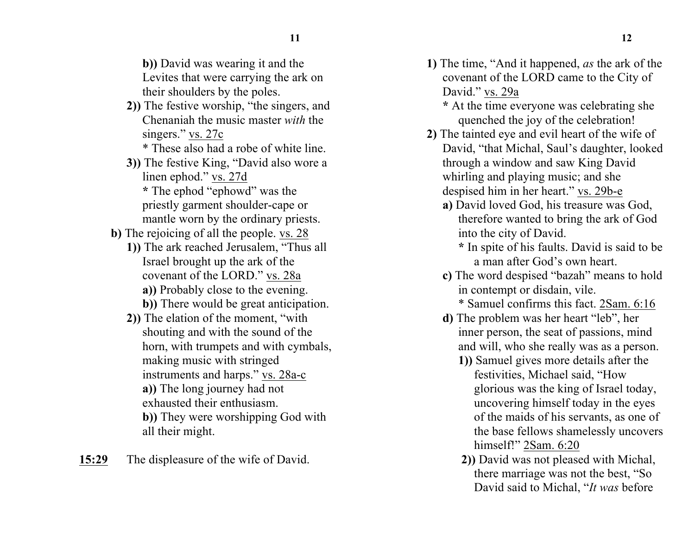**b))** David was wearing it and the Levites that were carrying the ark on their shoulders by the poles.

**2))** The festive worship, "the singers, and Chenaniah the music master *with* the singers." vs. 27c

\* These also had a robe of white line.

- **3))** The festive King, "David also wore a linen ephod." vs. 27d **\*** The ephod "ephowd" was the priestly garment shoulder-cape or mantle worn by the ordinary priests.
- **b)** The rejoicing of all the people. vs. 28
	- **1))** The ark reached Jerusalem, "Thus all Israel brought up the ark of the covenant of the LORD." vs. 28a **a))** Probably close to the evening.
		- **b))** There would be great anticipation.
	- **2))** The elation of the moment, "with shouting and with the sound of the horn, with trumpets and with cymbals, making music with stringed instruments and harps." vs. 28a-c **a))** The long journey had not exhausted their enthusiasm. **b))** They were worshipping God with all their might.

**15:29** The displeasure of the wife of David.

- **1)** The time, "And it happened, *as* the ark of the covenant of the LORD came to the City of David." vs. 29a
	- **\*** At the time everyone was celebrating she quenched the joy of the celebration!
- **2)** The tainted eye and evil heart of the wife of David, "that Michal, Saul's daughter, looked through a window and saw King David whirling and playing music; and she despised him in her heart." vs. 29b-e
	- **a)** David loved God, his treasure was God, therefore wanted to bring the ark of God into the city of David.
		- **\*** In spite of his faults. David is said to be a man after God's own heart.
	- **c)** The word despised "bazah" means to hold in contempt or disdain, vile.
		- \* Samuel confirms this fact. 2Sam. 6:16
	- **d)** The problem was her heart "leb", her inner person, the seat of passions, mind and will, who she really was as a person.
		- **1))** Samuel gives more details after the festivities, Michael said, "How glorious was the king of Israel today, uncovering himself today in the eyes of the maids of his servants, as one of the base fellows shamelessly uncovers himself!" 2Sam. 6:20
		- **2))** David was not pleased with Michal, there marriage was not the best, "So David said to Michal, "*It was* before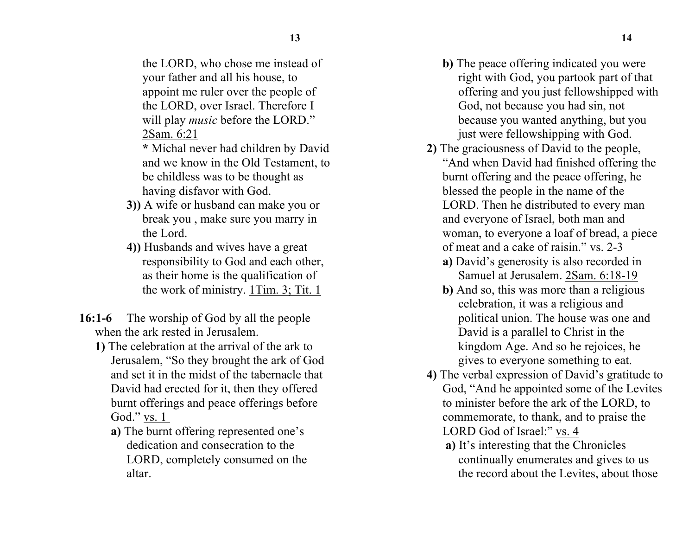the LORD, who chose me instead of your father and all his house, to appoint me ruler over the people of the LORD, over Israel. Therefore I will play *music* before the LORD." 2Sam. 6:21

- **\*** Michal never had children by David and we know in the Old Testament, to be childless was to be thought as having disfavor with God.
- **3))** A wife or husband can make you or break you , make sure you marry in the Lord.
- **4))** Husbands and wives have a great responsibility to God and each other, as their home is the qualification of the work of ministry. 1Tim. 3; Tit. 1
- **16:1-6** The worship of God by all the people when the ark rested in Jerusalem.
	- **1)** The celebration at the arrival of the ark to Jerusalem, "So they brought the ark of God and set it in the midst of the tabernacle that David had erected for it, then they offered burnt offerings and peace offerings before God." vs. 1
		- **a)** The burnt offering represented one's dedication and consecration to the LORD, completely consumed on the altar.
- **b)** The peace offering indicated you were right with God, you partook part of that offering and you just fellowshipped with God, not because you had sin, not because you wanted anything, but you just were fellowshipping with God.
- **2)** The graciousness of David to the people, "And when David had finished offering the burnt offering and the peace offering, he blessed the people in the name of the LORD. Then he distributed to every man and everyone of Israel, both man and woman, to everyone a loaf of bread, a piece of meat and a cake of raisin." vs. 2-3
	- **a)** David's generosity is also recorded in Samuel at Jerusalem. 2Sam. 6:18-19
	- **b)** And so, this was more than a religious celebration, it was a religious and political union. The house was one and David is a parallel to Christ in the kingdom Age. And so he rejoices, he gives to everyone something to eat.
- **4)** The verbal expression of David's gratitude to God, "And he appointed some of the Levites to minister before the ark of the LORD, to commemorate, to thank, and to praise the LORD God of Israel:" vs. 4
	- **a)** It's interesting that the Chronicles continually enumerates and gives to us the record about the Levites, about those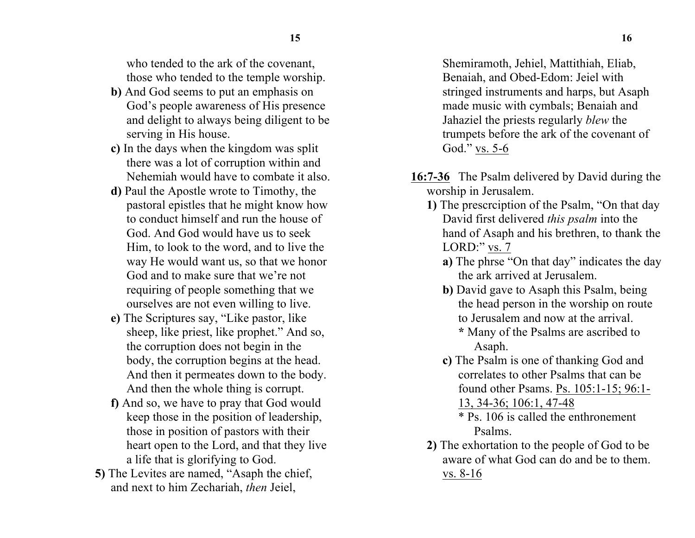who tended to the ark of the covenant, those who tended to the temple worship.

- **b)** And God seems to put an emphasis on God's people awareness of His presence and delight to always being diligent to be serving in His house.
- **c)** In the days when the kingdom was split there was a lot of corruption within and Nehemiah would have to combate it also.
- **d)** Paul the Apostle wrote to Timothy, the pastoral epistles that he might know how to conduct himself and run the house of God. And God would have us to seek Him, to look to the word, and to live the way He would want us, so that we honor God and to make sure that we're not requiring of people something that we ourselves are not even willing to live.
- **e)** The Scriptures say, "Like pastor, like sheep, like priest, like prophet." And so, the corruption does not begin in the body, the corruption begins at the head. And then it permeates down to the body. And then the whole thing is corrupt.
- **f)** And so, we have to pray that God would keep those in the position of leadership, those in position of pastors with their heart open to the Lord, and that they live a life that is glorifying to God.
- **5)** The Levites are named, "Asaph the chief, and next to him Zechariah, *then* Jeiel,

Shemiramoth, Jehiel, Mattithiah, Eliab, Benaiah, and Obed-Edom: Jeiel with stringed instruments and harps, but Asaph made music with cymbals; Benaiah and Jahaziel the priests regularly *blew* the trumpets before the ark of the covenant of God." vs. 5-6

- **16:7-36** The Psalm delivered by David during the worship in Jerusalem.
	- **1)** The prescrciption of the Psalm, "On that day David first delivered *this psalm* into the hand of Asaph and his brethren, to thank the LORD:" vs. 7
		- **a)** The phrse "On that day" indicates the day the ark arrived at Jerusalem.
		- **b)** David gave to Asaph this Psalm, being the head person in the worship on route to Jerusalem and now at the arrival. **\*** Many of the Psalms are ascribed to Asaph.
		- **c)** The Psalm is one of thanking God and correlates to other Psalms that can be found other Psams. Ps. 105:1-15; 96:1-

13, 34-36; 106:1, 47-48

\* Ps. 106 is called the enthronement Psalms.

**2)** The exhortation to the people of God to be aware of what God can do and be to them. vs. 8-16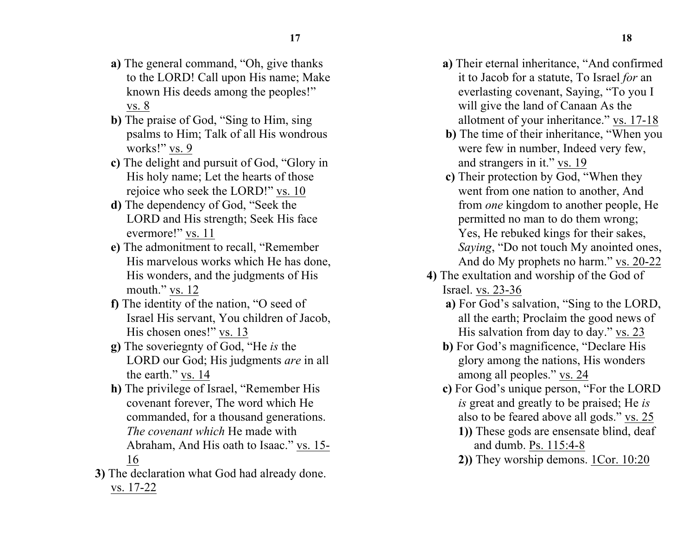- **a)** The general command, "Oh, give thanks to the LORD! Call upon His name; Make known His deeds among the peoples!" vs. 8
- **b)** The praise of God, "Sing to Him, sing psalms to Him; Talk of all His wondrous works!" vs. 9
- **c)** The delight and pursuit of God, "Glory in His holy name; Let the hearts of those rejoice who seek the LORD!" vs. 10
- **d)** The dependency of God, "Seek the LORD and His strength; Seek His face evermore!" vs. 11
- **e)** The admonitment to recall, "Remember His marvelous works which He has done, His wonders, and the judgments of His mouth." vs. 12
- **f)** The identity of the nation, "O seed of Israel His servant, You children of Jacob, His chosen ones!" vs. 13
- **g)** The soveriegnty of God, "He *is* the LORD our God; His judgments *are* in all the earth." vs. 14
- **h)** The privilege of Israel, "Remember His covenant forever, The word which He commanded, for a thousand generations. *The covenant which* He made with Abraham, And His oath to Isaac." vs. 15- 16
- **3)** The declaration what God had already done. vs. 17-22
- **a)** Their eternal inheritance, "And confirmed it to Jacob for a statute, To Israel *for* an everlasting covenant, Saying, "To you I will give the land of Canaan As the allotment of your inheritance." vs. 17-18
- **b)** The time of their inheritance, "When you were few in number, Indeed very few, and strangers in it." vs. 19
- **c)** Their protection by God, "When they went from one nation to another, And from *one* kingdom to another people, He permitted no man to do them wrong; Yes, He rebuked kings for their sakes, *Saying*, "Do not touch My anointed ones, And do My prophets no harm." vs. 20-22
- **4)** The exultation and worship of the God of Israel. vs. 23-36
	- **a)** For God's salvation, "Sing to the LORD, all the earth; Proclaim the good news of His salvation from day to day." vs. 23
	- **b)** For God's magnificence, "Declare His glory among the nations, His wonders among all peoples." vs. 24
	- **c)** For God's unique person, "For the LORD *is* great and greatly to be praised; He *is* also to be feared above all gods." vs. 25
		- **1))** These gods are ensensate blind, deaf and dumb. Ps. 115:4-8
		- **2))** They worship demons. 1Cor. 10:20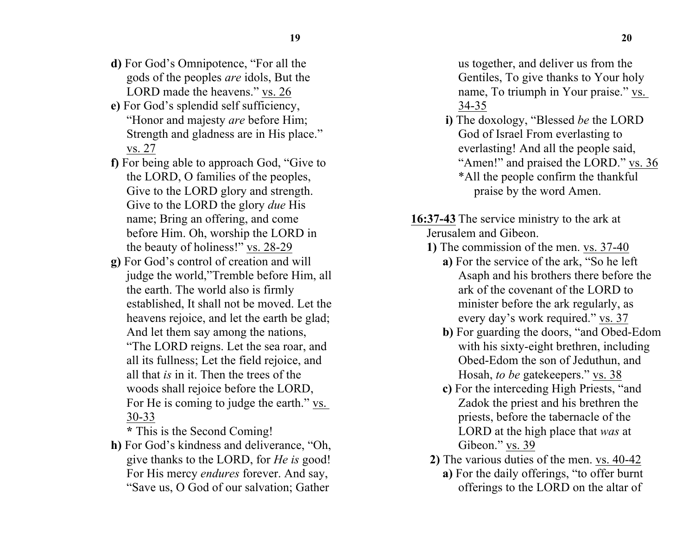- **d)** For God's Omnipotence, "For all the gods of the peoples *are* idols, But the LORD made the heavens." vs. 26
- **e)** For God's splendid self sufficiency, "Honor and majesty *are* before Him; Strength and gladness are in His place." vs. 27
- **f)** For being able to approach God, "Give to the LORD, O families of the peoples, Give to the LORD glory and strength. Give to the LORD the glory *due* His name; Bring an offering, and come before Him. Oh, worship the LORD in the beauty of holiness!" vs. 28-29
- **g)** For God's control of creation and will judge the world,"Tremble before Him, all the earth. The world also is firmly established, It shall not be moved. Let the heavens rejoice, and let the earth be glad; And let them say among the nations, "The LORD reigns. Let the sea roar, and all its fullness; Let the field rejoice, and all that *is* in it. Then the trees of the woods shall rejoice before the LORD, For He is coming to judge the earth." vs. 30-33

**\*** This is the Second Coming!

**h)** For God's kindness and deliverance, "Oh, give thanks to the LORD, for *He is* good! For His mercy *endures* forever. And say, "Save us, O God of our salvation; Gather

us together, and deliver us from the Gentiles, To give thanks to Your holy name, To triumph in Your praise." vs. 34-35

- **i)** The doxology, "Blessed *be* the LORD God of Israel From everlasting to everlasting! And all the people said, "Amen!" and praised the LORD." vs. 36 \*All the people confirm the thankful praise by the word Amen.
- **16:37-43** The service ministry to the ark at Jerusalem and Gibeon.
	- **1)** The commission of the men. vs. 37-40
		- **a)** For the service of the ark, "So he left Asaph and his brothers there before the ark of the covenant of the LORD to minister before the ark regularly, as every day's work required." vs. 37
		- **b)** For guarding the doors, "and Obed-Edom with his sixty-eight brethren, including Obed-Edom the son of Jeduthun, and Hosah, *to be* gatekeepers." vs. 38
		- **c)** For the interceding High Priests, "and Zadok the priest and his brethren the priests, before the tabernacle of the LORD at the high place that *was* at Gibeon." vs. 39
	- **2)** The various duties of the men. vs. 40-42
		- **a)** For the daily offerings, "to offer burnt offerings to the LORD on the altar of